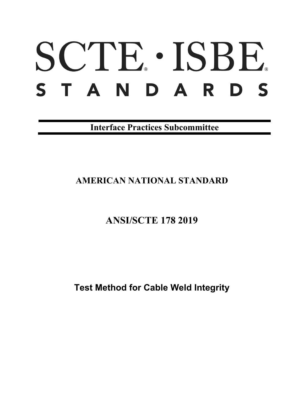# SCTE · ISBE. STANDARDS

**Interface Practices Subcommittee**

# **AMERICAN NATIONAL STANDARD**

# **ANSI/SCTE 178 2019**

**Test Method for Cable Weld Integrity**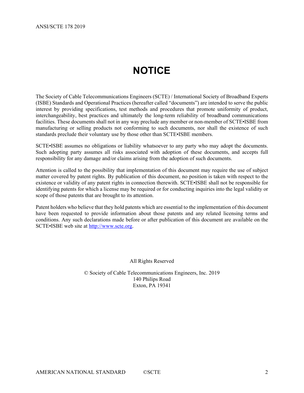# **NOTICE**

<span id="page-1-0"></span>The Society of Cable Telecommunications Engineers (SCTE) / International Society of Broadband Experts (ISBE) Standards and Operational Practices (hereafter called "documents") are intended to serve the public interest by providing specifications, test methods and procedures that promote uniformity of product, interchangeability, best practices and ultimately the long-term reliability of broadband communications facilities. These documents shall not in any way preclude any member or non-member of SCTE•ISBE from manufacturing or selling products not conforming to such documents, nor shall the existence of such standards preclude their voluntary use by those other than SCTE•ISBE members.

SCTE•ISBE assumes no obligations or liability whatsoever to any party who may adopt the documents. Such adopting party assumes all risks associated with adoption of these documents, and accepts full responsibility for any damage and/or claims arising from the adoption of such documents.

Attention is called to the possibility that implementation of this document may require the use of subject matter covered by patent rights. By publication of this document, no position is taken with respect to the existence or validity of any patent rights in connection therewith. SCTE•ISBE shall not be responsible for identifying patents for which a license may be required or for conducting inquiries into the legal validity or scope of those patents that are brought to its attention.

Patent holders who believe that they hold patents which are essential to the implementation of this document have been requested to provide information about those patents and any related licensing terms and conditions. Any such declarations made before or after publication of this document are available on the SCTE•ISBE web site at [http://www.scte.org.](http://www.scte.org/)

All Rights Reserved

© Society of Cable Telecommunications Engineers, Inc. 2019 140 Philips Road Exton, PA 19341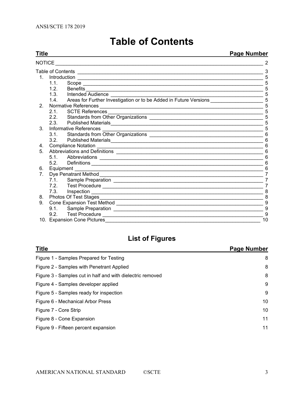<span id="page-2-0"></span>

| Title          |                                |                                                                                                                                                                                                                                     | <u>Page Number</u> |  |
|----------------|--------------------------------|-------------------------------------------------------------------------------------------------------------------------------------------------------------------------------------------------------------------------------------|--------------------|--|
| NOTICE         |                                |                                                                                                                                                                                                                                     |                    |  |
|                |                                |                                                                                                                                                                                                                                     | 3                  |  |
|                |                                |                                                                                                                                                                                                                                     | 5                  |  |
|                | 1.1.                           |                                                                                                                                                                                                                                     |                    |  |
|                | 1.2.                           | Benefits <b>Example 2018</b> Sensitive Automatic Contract of the Contract of the Contract of the Contract of the Contract of the Contract of the Contract of the Contract of the Contract of the Contract of the Contract of the Co | 5                  |  |
|                | 1.3. Intended Audience         |                                                                                                                                                                                                                                     | 5                  |  |
|                |                                | 1.4. Areas for Further Investigation or to be Added in Future Versions                                                                                                                                                              | 5                  |  |
| 2 <sup>1</sup> |                                |                                                                                                                                                                                                                                     | 5                  |  |
|                | <b>SCTE References</b><br>2.1. | <u> 1989 - Johann John Stoff, deutscher Stoffen und der Stoffen und der Stoffen und der Stoffen und der Stoffen</u>                                                                                                                 | 5                  |  |
|                |                                |                                                                                                                                                                                                                                     | 5                  |  |
|                | 2.3.                           |                                                                                                                                                                                                                                     | 5                  |  |
| $3_{-}$        |                                |                                                                                                                                                                                                                                     | 5                  |  |
|                | 3.1                            |                                                                                                                                                                                                                                     | 6                  |  |
|                | $3.2 -$                        |                                                                                                                                                                                                                                     | 6                  |  |
| 4.             |                                |                                                                                                                                                                                                                                     | 6                  |  |
| 5 <sub>1</sub> |                                |                                                                                                                                                                                                                                     | 6                  |  |
|                |                                |                                                                                                                                                                                                                                     | 6                  |  |
|                | 5.2                            |                                                                                                                                                                                                                                     | 6                  |  |
| 6.             | Equipment ____                 |                                                                                                                                                                                                                                     | 6                  |  |
| $7_{\cdot}$    |                                |                                                                                                                                                                                                                                     | 7                  |  |
|                |                                |                                                                                                                                                                                                                                     | 7                  |  |
|                |                                |                                                                                                                                                                                                                                     | 7                  |  |
|                | 7.3. Inspection                |                                                                                                                                                                                                                                     | 8                  |  |
| 8.             |                                |                                                                                                                                                                                                                                     | 8                  |  |
| 9.             |                                |                                                                                                                                                                                                                                     | 9                  |  |
|                | 9.1.                           |                                                                                                                                                                                                                                     | 9                  |  |
|                |                                |                                                                                                                                                                                                                                     | 9                  |  |
|                | 10. Expansion Cone Pictures    |                                                                                                                                                                                                                                     | 10                 |  |

# **Table of Contents**

# **List of Figures**

| <b>Title</b>                                               | Page Number |
|------------------------------------------------------------|-------------|
| Figure 1 - Samples Prepared for Testing                    | 8           |
| Figure 2 - Samples with Penetrant Applied                  | 8           |
| Figure 3 - Samples cut in half and with dielectric removed | 8           |
| Figure 4 - Samples developer applied                       | 9           |
| Figure 5 - Samples ready for inspection                    | 9           |
| Figure 6 - Mechanical Arbor Press                          | 10          |
| Figure 7 - Core Strip                                      | 10          |
| Figure 8 - Cone Expansion                                  | 11          |
| Figure 9 - Fifteen percent expansion                       | 11          |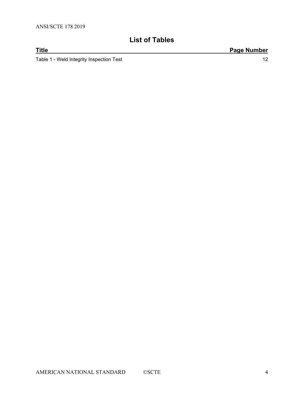# **List of Tables**

**Title Page Number** Table 1 - [Weld Integrity Inspection Test](#page-11-0) 12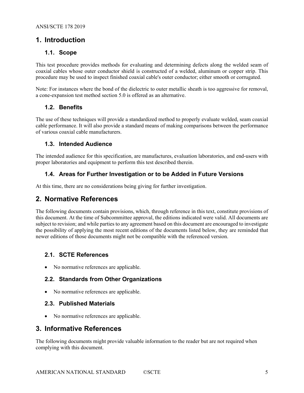# <span id="page-4-1"></span><span id="page-4-0"></span>**1. Introduction**

#### **1.1. Scope**

This test procedure provides methods for evaluating and determining defects along the welded seam of coaxial cables whose outer conductor shield is constructed of a welded, aluminum or copper strip. This procedure may be used to inspect finished coaxial cable's outer conductor; either smooth or corrugated.

Note: For instances where the bond of the dielectric to outer metallic sheath is too aggressive for removal, a cone-expansion test method section 5.0 is offered as an alternative.

## <span id="page-4-2"></span>**1.2. Benefits**

The use of these techniques will provide a standardized method to properly evaluate welded, seam coaxial cable performance. It will also provide a standard means of making comparisons between the performance of various coaxial cable manufacturers.

#### <span id="page-4-3"></span>**1.3. Intended Audience**

The intended audience for this specification, are manufactures, evaluation laboratories, and end-users with proper laboratories and equipment to perform this test described therein.

## <span id="page-4-4"></span>**1.4. Areas for Further Investigation or to be Added in Future Versions**

<span id="page-4-5"></span>At this time, there are no considerations being giving for further investigation.

# **2. Normative References**

The following documents contain provisions, which, through reference in this text, constitute provisions of this document. At the time of Subcommittee approval, the editions indicated were valid. All documents are subject to revision; and while parties to any agreement based on this document are encouraged to investigate the possibility of applying the most recent editions of the documents listed below, they are reminded that newer editions of those documents might not be compatible with the referenced version.

## <span id="page-4-6"></span>**2.1. SCTE References**

<span id="page-4-7"></span>• No normative references are applicable.

## **2.2. Standards from Other Organizations**

<span id="page-4-8"></span>• No normative references are applicable.

## **2.3. Published Materials**

• No normative references are applicable.

# <span id="page-4-9"></span>**3. Informative References**

The following documents might provide valuable information to the reader but are not required when complying with this document.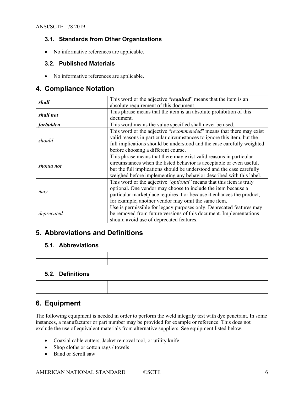## <span id="page-5-0"></span>**3.1. Standards from Other Organizations**

<span id="page-5-1"></span>• No informative references are applicable.

#### **3.2. Published Materials**

• No informative references are applicable.

# <span id="page-5-2"></span>**4. Compliance Notation**

| shall      | This word or the adjective "required" means that the item is an              |  |  |
|------------|------------------------------------------------------------------------------|--|--|
|            | absolute requirement of this document.                                       |  |  |
| shall not  | This phrase means that the item is an absolute prohibition of this           |  |  |
|            | document.                                                                    |  |  |
| forbidden  | This word means the value specified shall never be used.                     |  |  |
|            | This word or the adjective "recommended" means that there may exist          |  |  |
| should     | valid reasons in particular circumstances to ignore this item, but the       |  |  |
|            | full implications should be understood and the case carefully weighted       |  |  |
|            | before choosing a different course.                                          |  |  |
|            | This phrase means that there may exist valid reasons in particular           |  |  |
| should not | circumstances when the listed behavior is acceptable or even useful,         |  |  |
|            | but the full implications should be understood and the case carefully        |  |  |
|            | weighed before implementing any behavior described with this label.          |  |  |
|            | This word or the adjective " <i>optional</i> " means that this item is truly |  |  |
|            | optional. One vendor may choose to include the item because a                |  |  |
| may        | particular marketplace requires it or because it enhances the product,       |  |  |
|            | for example; another vendor may omit the same item.                          |  |  |
|            | Use is permissible for legacy purposes only. Deprecated features may         |  |  |
| deprecated | be removed from future versions of this document. Implementations            |  |  |
|            | should avoid use of deprecated features.                                     |  |  |

# <span id="page-5-3"></span>**5. Abbreviations and Definitions**

#### <span id="page-5-4"></span>**5.1. Abbreviations**

## <span id="page-5-5"></span>**5.2. Definitions**

| ,我们就会在这里,我们就会在这里,我们就会在这里,我们就会在这里,我们就会在这里,我们就会在这里,我们就会在这里,我们就会在这里,我们就会在这里,我们就会在这里                                       |
|------------------------------------------------------------------------------------------------------------------------|
|                                                                                                                        |
|                                                                                                                        |
|                                                                                                                        |
|                                                                                                                        |
|                                                                                                                        |
| <u> 2001 - Ann an t-Èireann an t-Èireann an t-Èireann an t-Èireann an t-Èireann an t-Èireann an t-Èireann an t-Èir</u> |
|                                                                                                                        |

# <span id="page-5-6"></span>**6. Equipment**

The following equipment is needed in order to perform the weld integrity test with dye penetrant. In some instances, a manufacturer or part number may be provided for example or reference. This does not exclude the use of equivalent materials from alternative suppliers. See equipment listed below.

- Coaxial cable cutters, Jacket removal tool, or utility knife
- Shop cloths or cotton rags / towels
- Band or Scroll saw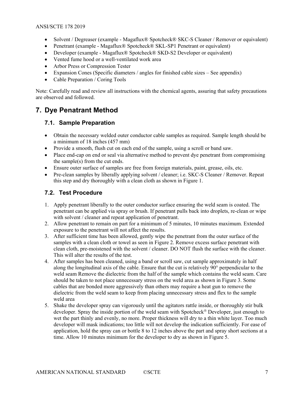- Solvent / Degreaser (example Magaflux® Spotcheck® SKC-S Cleaner / Remover or equivalent)
- Penetrant (example Magaflux® Spotcheck® SKL-SP1 Penetrant or equivalent)
- Developer (example Magaflux® Spotcheck® SKD-S2 Developer or equivalent)
- Vented fume hood or a well-ventilated work area
- Arbor Press or Compression Tester
- Expansion Cones (Specific diameters / angles for finished cable sizes See appendix)
- Cable Preparation / Coring Tools

Note: Carefully read and review all instructions with the chemical agents, assuring that safety precautions are observed and followed.

# <span id="page-6-0"></span>**7. Dye Penatrant Method**

#### <span id="page-6-1"></span>**7.1. Sample Preparation**

- Obtain the necessary welded outer conductor cable samples as required. Sample length should be a minimum of 18 inches (457 mm)
- Provide a smooth, flush cut on each end of the sample, using a scroll or band saw.
- Place end-cap on end or seal via alternative method to prevent dye penetrant from compromising the sample(s) from the cut ends.
- Ensure outer surface of samples are free from foreign materials, paint, grease, oils, etc.
- Pre-clean samples by liberally applying solvent / cleaner; i.e. SKC-S Cleaner / Remover. Repeat this step and dry thoroughly with a clean cloth as shown in [Figure 1.](#page-7-2)

#### <span id="page-6-2"></span>**7.2. Test Procedure**

- 1. Apply penetrant liberally to the outer conductor surface ensuring the weld seam is coated. The penetrant can be applied via spray or brush. If penetrant pulls back into droplets, re-clean or wipe with solvent / cleaner and repeat application of penetrant.
- 2. Allow penetrant to remain on part for a minimum of 5 minutes, 10 minutes maximum. Extended exposure to the penetrant will not affect the results.
- 3. After sufficient time has been allowed, gently wipe the penetrant from the outer surface of the samples with a clean cloth or towel as seen in [Figure 2.](#page-7-3) Remove excess surface penetrant with clean cloth, pre-moistened with the solvent / cleaner. DO NOT flush the surface with the cleaner. This will alter the results of the test.
- 4. After samples has been cleaned, using a band or scroll saw, cut sample approximately in half along the longitudinal axis of the cable. Ensure that the cut is relatively 90° perpendicular to the weld seam Remove the dielectric from the half of the sample which contains the weld seam. Care should be taken to not place unnecessary stress on the weld area as shown in [Figure 3.](#page-7-4) Some cables that are bonded more aggressively than others may require a heat gun to remove the dielectric from the weld seam to keep from placing unnecessary stress and flex to the sample weld area
- 5. Shake the developer spray can vigorously until the agitators rattle inside, or thoroughly stir bulk developer. Spray the inside portion of the weld seam with Spotcheck<sup>®</sup> Developer, just enough to wet the part thinly and evenly, no more. Proper thickness will dry to a thin white layer. Too much developer will mask indications; too little will not develop the indication sufficiently. For ease of application, hold the spray can or bottle 8 to 12 inches above the part and spray short sections at a time. Allow 10 minutes minimum for the developer to dry as shown in [Figure 5.](#page-8-4)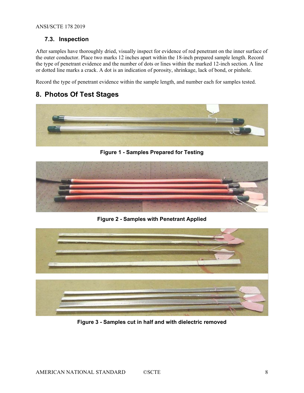## <span id="page-7-0"></span>**7.3. Inspection**

After samples have thoroughly dried, visually inspect for evidence of red penetrant on the inner surface of the outer conductor. Place two marks 12 inches apart within the 18-inch prepared sample length. Record the type of penetrant evidence and the number of dots or lines within the marked 12-inch section. A line or dotted line marks a crack. A dot is an indication of porosity, shrinkage, lack of bond, or pinhole.

Record the type of penetrant evidence within the sample length, and number each for samples tested.

# <span id="page-7-1"></span>**8. Photos Of Test Stages**



**Figure 1 - Samples Prepared for Testing**

<span id="page-7-2"></span>

**Figure 2 - Samples with Penetrant Applied**

<span id="page-7-4"></span><span id="page-7-3"></span>

**Figure 3 - Samples cut in half and with dielectric removed**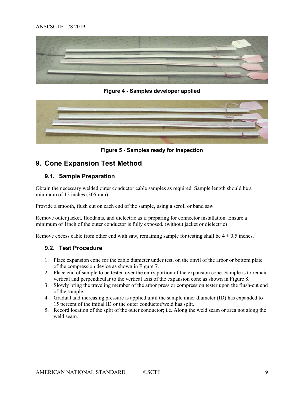#### ANSI/SCTE 178 2019



**Figure 4 - Samples developer applied**

<span id="page-8-3"></span>

**Figure 5 - Samples ready for inspection**

# <span id="page-8-4"></span><span id="page-8-0"></span>**9. Cone Expansion Test Method**

## <span id="page-8-1"></span>**9.1. Sample Preparation**

Obtain the necessary welded outer conductor cable samples as required. Sample length should be a minimum of 12 inches (305 mm)

Provide a smooth, flush cut on each end of the sample, using a scroll or band saw.

Remove outer jacket, floodants, and dielectric as if preparing for connector installation. Ensure a minimum of 1inch of the outer conductor is fully exposed. (without jacket or dielectric)

<span id="page-8-2"></span>Remove excess cable from other end with saw, remaining sample for testing shall be  $4 \pm 0.5$  inches.

#### **9.2. Test Procedure**

- 1. Place expansion cone for the cable diameter under test, on the anvil of the arbor or bottom plate of the compression device as shown in [Figure 7.](#page-9-2)
- 2. Place end of sample to be tested over the entry portion of the expansion cone. Sample is to remain vertical and perpendicular to the vertical axis of the expansion cone as shown in [Figure 8.](#page-10-0)
- 3. Slowly bring the traveling member of the arbor press or compression tester upon the flush-cut end of the sample.
- 4. Gradual and increasing pressure is applied until the sample inner diameter (ID) has expanded to 15 percent of the initial ID or the outer conductor/weld has split.
- 5. Record location of the split of the outer conductor; i.e. Along the weld seam or area not along the weld seam.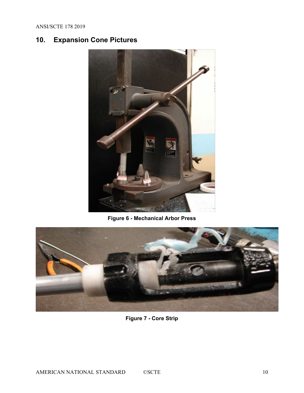# <span id="page-9-0"></span>**10. Expansion Cone Pictures**



**Figure 6 - Mechanical Arbor Press**

<span id="page-9-2"></span><span id="page-9-1"></span>

# **Figure 7 - Core Strip**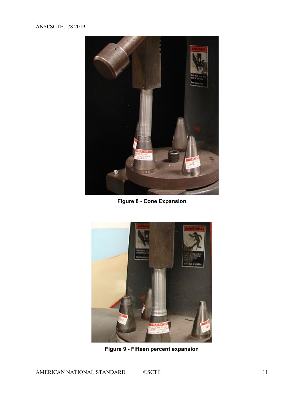#### ANSI/SCTE 178 2019



**Figure 8 - Cone Expansion**

<span id="page-10-1"></span><span id="page-10-0"></span>

**Figure 9 - Fifteen percent expansion**